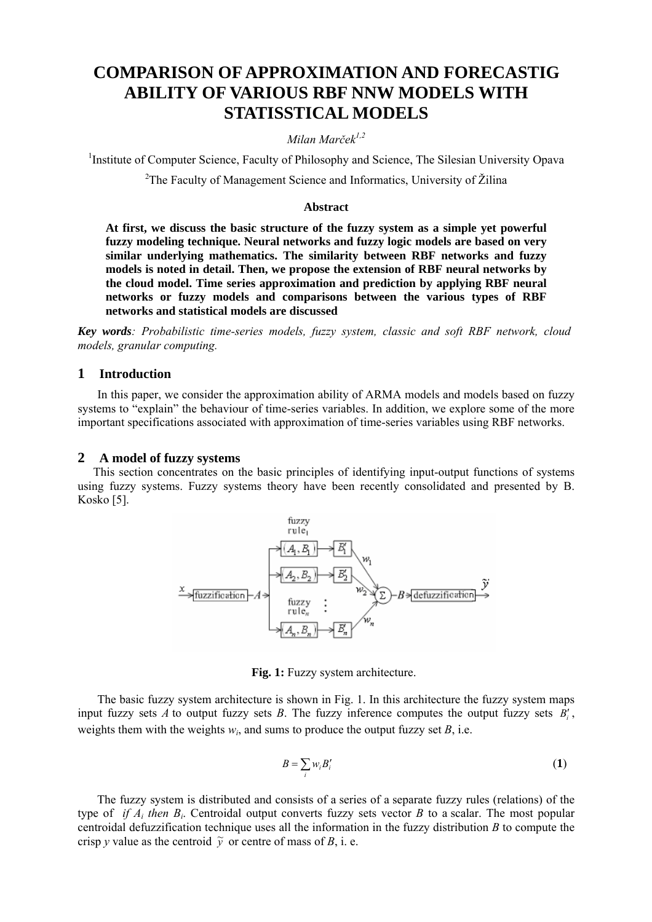# **COMPARISON OF APPROXIMATION AND FORECASTIG ABILITY OF VARIOUS RBF NNW MODELS WITH STATISSTICAL MODELS**

## *Milan Marček*<sup>1,2</sup>

<sup>1</sup>Institute of Computer Science, Faculty of Philosophy and Science, The Silesian University Opava

<sup>2</sup>The Faculty of Management Science and Informatics, University of Žilina

#### **Abstract**

**At first, we discuss the basic structure of the fuzzy system as a simple yet powerful fuzzy modeling technique. Neural networks and fuzzy logic models are based on very similar underlying mathematics. The similarity between RBF networks and fuzzy models is noted in detail. Then, we propose the extension of RBF neural networks by the cloud model. Time series approximation and prediction by applying RBF neural networks or fuzzy models and comparisons between the various types of RBF networks and statistical models are discussed** 

*Key words: Probabilistic time-series models, fuzzy system, classic and soft RBF network, cloud models, granular computing.* 

## **1 Introduction**

In this paper, we consider the approximation ability of ARMA models and models based on fuzzy systems to "explain" the behaviour of time-series variables. In addition, we explore some of the more important specifications associated with approximation of time-series variables using RBF networks.

#### **2 A model of fuzzy systems**

This section concentrates on the basic principles of identifying input-output functions of systems using fuzzy systems. Fuzzy systems theory have been recently consolidated and presented by B. Kosko [5].



**Fig. 1:** Fuzzy system architecture.

The basic fuzzy system architecture is shown in Fig. 1. In this architecture the fuzzy system maps input fuzzy sets  $A$  to output fuzzy sets  $B$ . The fuzzy inference computes the output fuzzy sets  $B'_i$ , weights them with the weights  $w_i$ , and sums to produce the output fuzzy set  $B$ , i.e.

$$
B = \sum_{i} w_i B'_i \tag{1}
$$

The fuzzy system is distributed and consists of a series of a separate fuzzy rules (relations) of the type of *if Ai then Bi*. Centroidal output converts fuzzy sets vector *B* to a scalar. The most popular centroidal defuzzification technique uses all the information in the fuzzy distribution *B* to compute the crisp *y* value as the centroid  $\tilde{y}$  or centre of mass of *B*, i. e.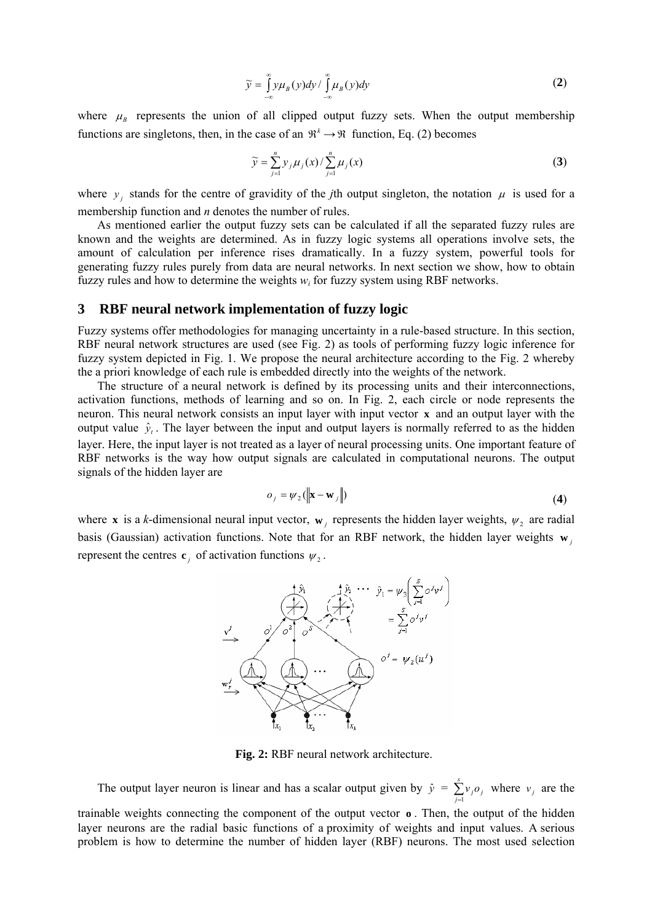$$
\widetilde{y} = \int_{-\infty}^{\infty} y \mu_B(y) dy / \int_{-\infty}^{\infty} \mu_B(y) dy
$$
 (2)

where  $\mu_B$  represents the union of all clipped output fuzzy sets. When the output membership functions are singletons, then, in the case of an  $\mathbb{R}^k \to \mathbb{R}$  function, Eq. (2) becomes

$$
\widetilde{y} = \sum_{j=1}^{n} y_j \mu_j(x) / \sum_{j=1}^{n} \mu_j(x)
$$
\n(3)

where  $y_i$  stands for the centre of gravidity of the *j*th output singleton, the notation  $\mu$  is used for a membership function and *n* denotes the number of rules.

As mentioned earlier the output fuzzy sets can be calculated if all the separated fuzzy rules are known and the weights are determined. As in fuzzy logic systems all operations involve sets, the amount of calculation per inference rises dramatically. In a fuzzy system, powerful tools for generating fuzzy rules purely from data are neural networks. In next section we show, how to obtain fuzzy rules and how to determine the weights  $w_i$  for fuzzy system using RBF networks.

## **3 RBF neural network implementation of fuzzy logic**

Fuzzy systems offer methodologies for managing uncertainty in a rule-based structure. In this section, RBF neural network structures are used (see Fig. 2) as tools of performing fuzzy logic inference for fuzzy system depicted in Fig. 1. We propose the neural architecture according to the Fig. 2 whereby the a priori knowledge of each rule is embedded directly into the weights of the network.

The structure of a neural network is defined by its processing units and their interconnections, activation functions, methods of learning and so on. In Fig. 2, each circle or node represents the neuron. This neural network consists an input layer with input vector x and an output layer with the output value  $\hat{y}_t$ . The layer between the input and output layers is normally referred to as the hidden layer. Here, the input layer is not treated as a layer of neural processing units. One important feature of RBF networks is the way how output signals are calculated in computational neurons. The output signals of the hidden layer are

$$
o_j = \psi_2(\|\mathbf{x} - \mathbf{w}_j\|) \tag{4}
$$

where **x** is a *k*-dimensional neural input vector,  $w_i$  represents the hidden layer weights,  $\psi_2$  are radial basis (Gaussian) activation functions. Note that for an RBF network, the hidden layer weights **w** *j* represent the centres  $\mathbf{c}_j$  of activation functions  $\psi_2$ .



**Fig. 2:** RBF neural network architecture.

The output layer neuron is linear and has a scalar output given by  $\hat{y} = \sum_{j=1}^{n} v_j o_j$  where  $v_j$  are the trainable weights connecting the component of the output vector o. Then, the output of the hidden layer neurons are the radial basic functions of a proximity of weights and input values. A serious problem is how to determine the number of hidden layer (RBF) neurons. The most used selection *s*  $\sum_{j=1}^{n} v_j o_j$  where  $v_j$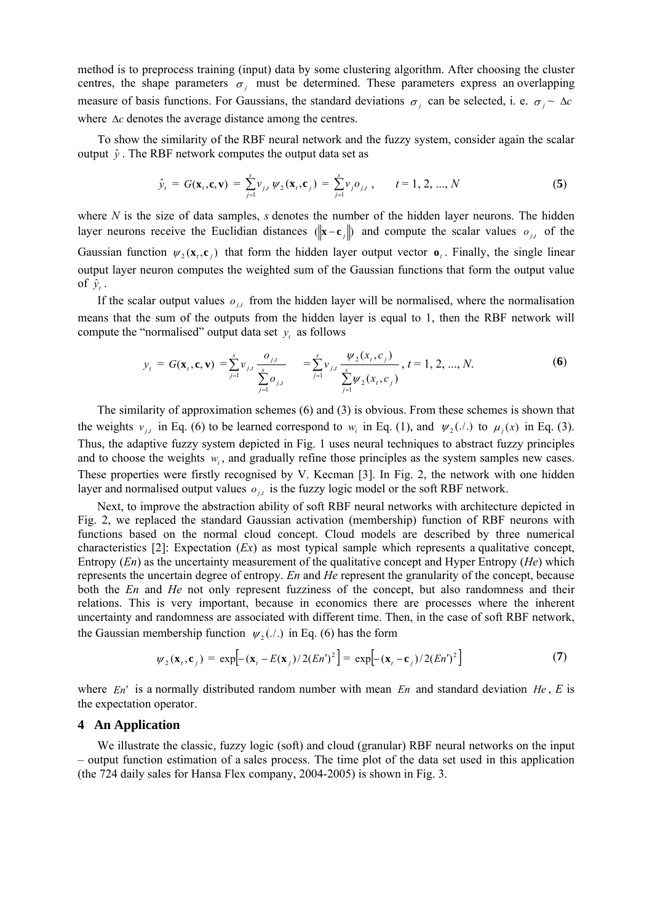method is to preprocess training (input) data by some clustering algorithm. After choosing the cluster centres, the shape parameters  $\sigma_i$  must be determined. These parameters express an overlapping measure of basis functions. For Gaussians, the standard deviations  $\sigma_j$  can be selected, i. e.  $\sigma_j \sim \Delta c$ where ∆*c* denotes the average distance among the centres.

To show the similarity of the RBF neural network and the fuzzy system, consider again the scalar output  $\hat{y}$ . The RBF network computes the output data set as

$$
\hat{y}_t = G(\mathbf{x}_t, \mathbf{c}, \mathbf{v}) = \sum_{j=1}^s v_{j,t} \, \psi_2(\mathbf{x}_t, \mathbf{c}_j) = \sum_{j=1}^s v_j o_{j,t} \,, \qquad t = 1, 2, ..., N \tag{5}
$$

where *N* is the size of data samples, *s* denotes the number of the hidden layer neurons. The hidden layer neurons receive the Euclidian distances ( $\|\mathbf{x} - \mathbf{c}_i\|$ ) and compute the scalar values  $o_{i,t}$  of the Gaussian function  $\psi_2(\mathbf{x}_i, \mathbf{c}_j)$  that form the hidden layer output vector  $\mathbf{o}_i$ . Finally, the single linear output layer neuron computes the weighted sum of the Gaussian functions that form the output value of  $\hat{y}_t$ .

If the scalar output values  $o_{j,t}$  from the hidden layer will be normalised, where the normalisation means that the sum of the outputs from the hidden layer is equal to 1, then the RBF network will compute the "normalised" output data set  $y_t$  as follows

$$
y_{t} = G(\mathbf{x}_{t}, \mathbf{c}, \mathbf{v}) = \sum_{j=1}^{s} v_{j,t} \frac{\sigma_{j,t}}{\sum_{j=1}^{s} \sigma_{j,t}} = \sum_{j=1}^{s} v_{j,t} \frac{\psi_{2}(x_{t}, c_{j})}{\sum_{j=1}^{s} \psi_{2}(x_{t}, c_{j})}, t = 1, 2, ..., N.
$$
 (6)

The similarity of approximation schemes (6) and (3) is obvious. From these schemes is shown that the weights  $v_{i,t}$  in Eq. (6) to be learned correspond to  $w_i$  in Eq. (1), and  $\psi_2(\Lambda)$  to  $\mu_i(x)$  in Eq. (3). Thus, the adaptive fuzzy system depicted in Fig. 1 uses neural techniques to abstract fuzzy principles and to choose the weights  $w_i$ , and gradually refine those principles as the system samples new cases. These properties were firstly recognised by V. Kecman [3]. In Fig. 2, the network with one hidden layer and normalised output values  $o_{i,t}$  is the fuzzy logic model or the soft RBF network.

Next, to improve the abstraction ability of soft RBF neural networks with architecture depicted in Fig. 2, we replaced the standard Gaussian activation (membership) function of RBF neurons with functions based on the normal cloud concept. Cloud models are described by three numerical characteristics [2]: Expectation (*Ex*) as most typical sample which represents a qualitative concept, Entropy (*En*) as the uncertainty measurement of the qualitative concept and Hyper Entropy (*He*) which represents the uncertain degree of entropy. *En* and *He* represent the granularity of the concept, because both the *En* and *He* not only represent fuzziness of the concept, but also randomness and their relations. This is very important, because in economics there are processes where the inherent uncertainty and randomness are associated with different time. Then, in the case of soft RBF network, the Gaussian membership function  $\psi_2(\Lambda)$  in Eq. (6) has the form

$$
\psi_2(\mathbf{x}_t, \mathbf{c}_j) = \exp[-(\mathbf{x}_t - E(\mathbf{x}_j)/2(En')^2)] = \exp[-(\mathbf{x}_t - \mathbf{c}_j)/2(En')^2]
$$
(7)

where  $En'$  is a normally distributed random number with mean  $En$  and standard deviation  $He$ ,  $E$  is the expectation operator.

## **4 An Application**

We illustrate the classic, fuzzy logic (soft) and cloud (granular) RBF neural networks on the input – output function estimation of a sales process. The time plot of the data set used in this application (the 724 daily sales for Hansa Flex company, 2004-2005) is shown in Fig. 3.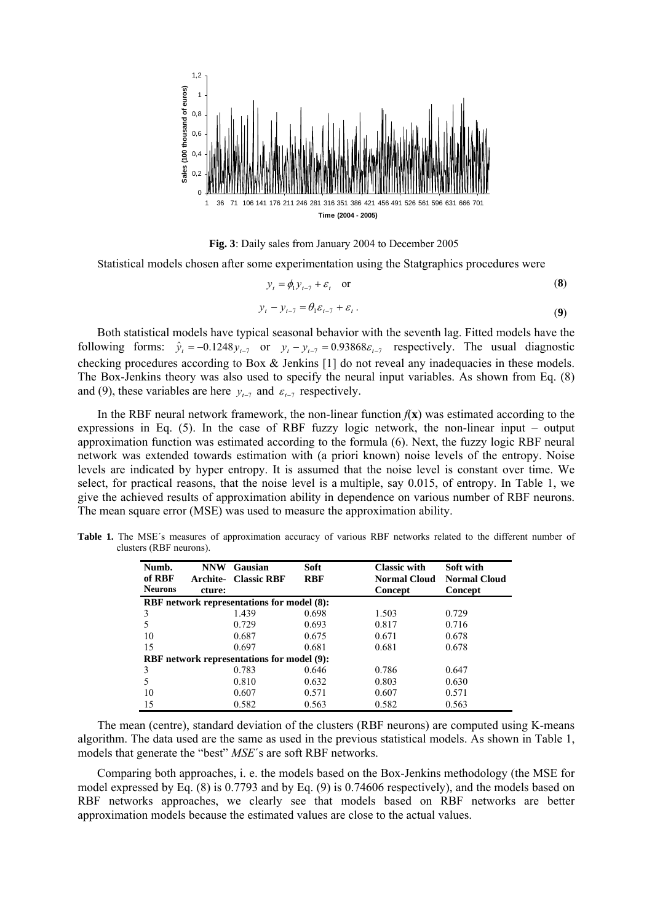

**Fig. 3**: Daily sales from January 2004 to December 2005

Statistical models chosen after some experimentation using the Statgraphics procedures were

$$
y_t = \phi_1 y_{t-7} + \varepsilon_t \quad \text{or} \tag{8}
$$

$$
y_t - y_{t-7} = \theta_1 \varepsilon_{t-7} + \varepsilon_t \,. \tag{9}
$$

Both statistical models have typical seasonal behavior with the seventh lag. Fitted models have the following forms:  $\hat{y}_t = -0.1248 y_{t-7}$  or  $y_t - y_{t-7} = 0.93868 \varepsilon_{t-7}$  respectively. The usual diagnostic checking procedures according to Box & Jenkins [1] do not reveal any inadequacies in these models. The Box-Jenkins theory was also used to specify the neural input variables. As shown from Eq. (8) and (9), these variables are here  $y_{t-7}$  and  $\varepsilon_{t-7}$  respectively.

In the RBF neural network framework, the non-linear function  $f(\mathbf{x})$  was estimated according to the expressions in Eq. (5). In the case of RBF fuzzy logic network, the non-linear input – output approximation function was estimated according to the formula (6). Next, the fuzzy logic RBF neural network was extended towards estimation with (a priori known) noise levels of the entropy. Noise levels are indicated by hyper entropy. It is assumed that the noise level is constant over time. We select, for practical reasons, that the noise level is a multiple, say 0.015, of entropy. In Table 1, we give the achieved results of approximation ability in dependence on various number of RBF neurons. The mean square error (MSE) was used to measure the approximation ability.

**Table 1.** The MSE´s measures of approximation accuracy of various RBF networks related to the different number of clusters (RBF neurons).

| Numb.<br>of RBF<br><b>Neurons</b>                 | <b>NNW</b><br>cture: | Gausian<br><b>Archite- Classic RBF</b> | <b>Soft</b><br><b>RBF</b> | <b>Classic with</b><br><b>Normal Cloud</b><br>Concept | Soft with<br><b>Normal Cloud</b><br>Concept |  |  |  |  |
|---------------------------------------------------|----------------------|----------------------------------------|---------------------------|-------------------------------------------------------|---------------------------------------------|--|--|--|--|
| <b>RBF</b> network representations for model (8): |                      |                                        |                           |                                                       |                                             |  |  |  |  |
| 3                                                 |                      | 1.439                                  | 0.698                     | 1.503                                                 | 0.729                                       |  |  |  |  |
|                                                   |                      | 0.729                                  | 0.693                     | 0.817                                                 | 0.716                                       |  |  |  |  |
| 10                                                |                      | 0.687                                  | 0.675                     | 0.671                                                 | 0.678                                       |  |  |  |  |
| 15                                                |                      | 0.697                                  | 0.681                     | 0.681                                                 | 0.678                                       |  |  |  |  |
| <b>RBF</b> network representations for model (9): |                      |                                        |                           |                                                       |                                             |  |  |  |  |
| 3                                                 |                      | 0.783                                  | 0.646                     | 0.786                                                 | 0.647                                       |  |  |  |  |
|                                                   |                      | 0.810                                  | 0.632                     | 0.803                                                 | 0.630                                       |  |  |  |  |
| 10                                                |                      | 0.607                                  | 0.571                     | 0.607                                                 | 0.571                                       |  |  |  |  |
| 15                                                |                      | 0.582                                  | 0.563                     | 0.582                                                 | 0.563                                       |  |  |  |  |

The mean (centre), standard deviation of the clusters (RBF neurons) are computed using K-means algorithm. The data used are the same as used in the previous statistical models. As shown in Table 1, models that generate the "best" *MSE*´s are soft RBF networks.

Comparing both approaches, i. e. the models based on the Box-Jenkins methodology (the MSE for model expressed by Eq. (8) is 0.7793 and by Eq. (9) is 0.74606 respectively), and the models based on RBF networks approaches, we clearly see that models based on RBF networks are better approximation models because the estimated values are close to the actual values.